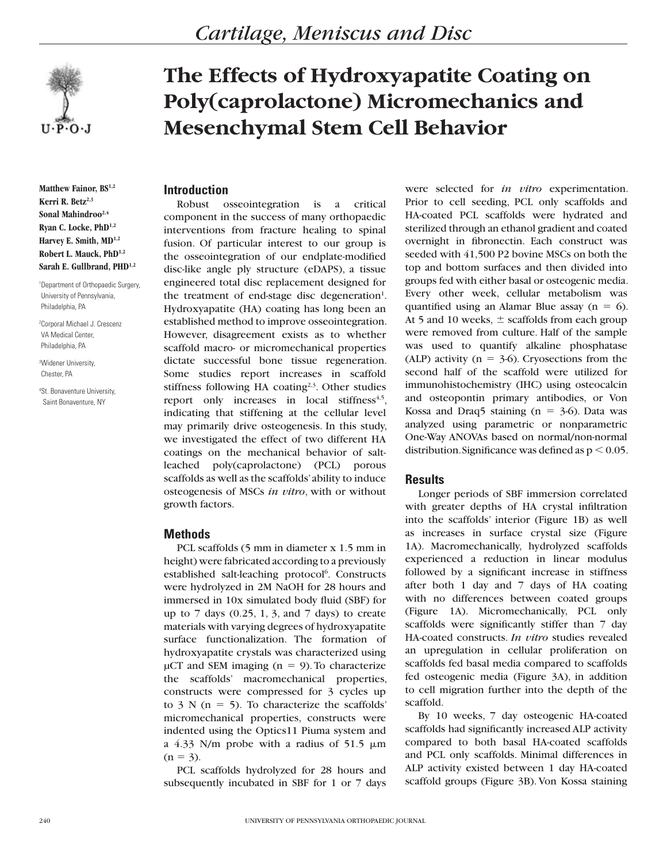

**Matthew Fainor, BS1,2** Kerri R. Betz<sup>2,3</sup> Sonal Mahindroo<sup>2,4</sup> **Ryan C. Locke, PhD1,2 Harvey E. Smith, MD1,2 Robert L. Mauck, PhD1,2** Sarah E. Gullbrand, PHD<sup>1,2</sup>

1 Department of Orthopaedic Surgery, University of Pennsylvania, Philadelphia, PA

2 Corporal Michael J. Crescenz VA Medical Center, Philadelphia, PA

3 Widener University, Chester, PA

4 St. Bonaventure University, Saint Bonaventure, NY

# **The Effects of Hydroxyapatite Coating on Poly(caprolactone) Micromechanics and Mesenchymal Stem Cell Behavior**

# **Introduction**

Robust osseointegration is a critical component in the success of many orthopaedic interventions from fracture healing to spinal fusion. Of particular interest to our group is the osseointegration of our endplate-modified disc-like angle ply structure (eDAPS), a tissue engineered total disc replacement designed for the treatment of end-stage disc degeneration<sup>1</sup>. Hydroxyapatite (HA) coating has long been an established method to improve osseointegration. However, disagreement exists as to whether scaffold macro- or micromechanical properties dictate successful bone tissue regeneration. Some studies report increases in scaffold stiffness following HA coating<sup>2,3</sup>. Other studies report only increases in local stiffness $4.5$ , indicating that stiffening at the cellular level may primarily drive osteogenesis. In this study, we investigated the effect of two different HA coatings on the mechanical behavior of saltleached poly(caprolactone) (PCL) porous scaffolds as well as the scaffolds' ability to induce osteogenesis of MSCs *in vitro*, with or without growth factors.

## **Methods**

PCL scaffolds (5 mm in diameter x 1.5 mm in height) were fabricated according to a previously established salt-leaching protocol<sup>6</sup>. Constructs were hydrolyzed in 2M NaOH for 28 hours and immersed in 10x simulated body fluid (SBF) for up to 7 days (0.25, 1, 3, and 7 days) to create materials with varying degrees of hydroxyapatite surface functionalization. The formation of hydroxyapatite crystals was characterized using  $\mu$ CT and SEM imaging (n = 9). To characterize the scaffolds' macromechanical properties, constructs were compressed for 3 cycles up to 3 N ( $n = 5$ ). To characterize the scaffolds' micromechanical properties, constructs were indented using the Optics11 Piuma system and a 4.33 N/m probe with a radius of 51.5  $\mu$ m  $(n = 3)$ .

PCL scaffolds hydrolyzed for 28 hours and subsequently incubated in SBF for 1 or 7 days

were selected for *in vitro* experimentation. Prior to cell seeding, PCL only scaffolds and HA-coated PCL scaffolds were hydrated and sterilized through an ethanol gradient and coated overnight in fibronectin. Each construct was seeded with 41,500 P2 bovine MSCs on both the top and bottom surfaces and then divided into groups fed with either basal or osteogenic media. Every other week, cellular metabolism was quantified using an Alamar Blue assay ( $n = 6$ ). At 5 and 10 weeks,  $\pm$  scaffolds from each group were removed from culture. Half of the sample was used to quantify alkaline phosphatase (ALP) activity ( $n = 3-6$ ). Cryosections from the second half of the scaffold were utilized for immunohistochemistry (IHC) using osteocalcin and osteopontin primary antibodies, or Von Kossa and Draq5 staining ( $n = 3-6$ ). Data was analyzed using parametric or nonparametric One-Way ANOVAs based on normal/non-normal distribution. Significance was defined as  $p < 0.05$ .

## **Results**

Longer periods of SBF immersion correlated with greater depths of HA crystal infiltration into the scaffolds' interior (Figure 1B) as well as increases in surface crystal size (Figure 1A). Macromechanically, hydrolyzed scaffolds experienced a reduction in linear modulus followed by a significant increase in stiffness after both 1 day and 7 days of HA coating with no differences between coated groups (Figure 1A). Micromechanically, PCL only scaffolds were significantly stiffer than 7 day HA-coated constructs. *In vitro* studies revealed an upregulation in cellular proliferation on scaffolds fed basal media compared to scaffolds fed osteogenic media (Figure 3A), in addition to cell migration further into the depth of the scaffold.

By 10 weeks, 7 day osteogenic HA-coated scaffolds had significantly increased ALP activity compared to both basal HA-coated scaffolds and PCL only scaffolds. Minimal differences in ALP activity existed between 1 day HA-coated scaffold groups (Figure 3B). Von Kossa staining